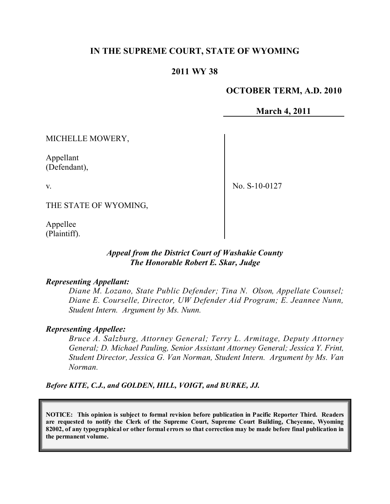# **IN THE SUPREME COURT, STATE OF WYOMING**

## **2011 WY 38**

### **OCTOBER TERM, A.D. 2010**

**March 4, 2011**

MICHELLE MOWERY,

Appellant (Defendant),

v.

No. S-10-0127

THE STATE OF WYOMING,

Appellee (Plaintiff).

### *Appeal from the District Court of Washakie County The Honorable Robert E. Skar, Judge*

#### *Representing Appellant:*

*Diane M. Lozano, State Public Defender; Tina N. Olson, Appellate Counsel; Diane E. Courselle, Director, UW Defender Aid Program; E. Jeannee Nunn, Student Intern. Argument by Ms. Nunn.*

#### *Representing Appellee:*

*Bruce A. Salzburg, Attorney General; Terry L. Armitage, Deputy Attorney General; D. Michael Pauling, Senior Assistant Attorney General; Jessica Y. Frint, Student Director, Jessica G. Van Norman, Student Intern. Argument by Ms. Van Norman.*

*Before KITE, C.J., and GOLDEN, HILL, VOIGT, and BURKE, JJ.*

**NOTICE: This opinion is subject to formal revision before publication in Pacific Reporter Third. Readers are requested to notify the Clerk of the Supreme Court, Supreme Court Building, Cheyenne, Wyoming** 82002, of any typographical or other formal errors so that correction may be made before final publication in **the permanent volume.**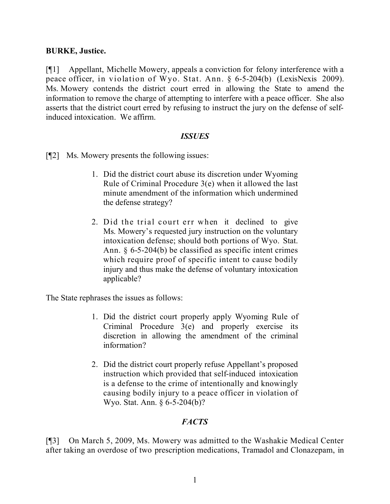### **BURKE, Justice.**

[¶1] Appellant, Michelle Mowery, appeals a conviction for felony interference with a peace officer, in violation of Wyo. Stat. Ann. § 6-5-204(b) (LexisNexis 2009). Ms. Mowery contends the district court erred in allowing the State to amend the information to remove the charge of attempting to interfere with a peace officer. She also asserts that the district court erred by refusing to instruct the jury on the defense of selfinduced intoxication. We affirm.

#### *ISSUES*

[¶2] Ms. Mowery presents the following issues:

- 1. Did the district court abuse its discretion under Wyoming Rule of Criminal Procedure 3(e) when it allowed the last minute amendment of the information which undermined the defense strategy?
- 2. Did the trial court err when it declined to give Ms. Mowery's requested jury instruction on the voluntary intoxication defense; should both portions of Wyo. Stat. Ann. § 6-5-204(b) be classified as specific intent crimes which require proof of specific intent to cause bodily injury and thus make the defense of voluntary intoxication applicable?

The State rephrases the issues as follows:

- 1. Did the district court properly apply Wyoming Rule of Criminal Procedure 3(e) and properly exercise its discretion in allowing the amendment of the criminal information?
- 2. Did the district court properly refuse Appellant's proposed instruction which provided that self-induced intoxication is a defense to the crime of intentionally and knowingly causing bodily injury to a peace officer in violation of Wyo. Stat. Ann. § 6-5-204(b)?

## *FACTS*

[¶3] On March 5, 2009, Ms. Mowery was admitted to the Washakie Medical Center after taking an overdose of two prescription medications, Tramadol and Clonazepam, in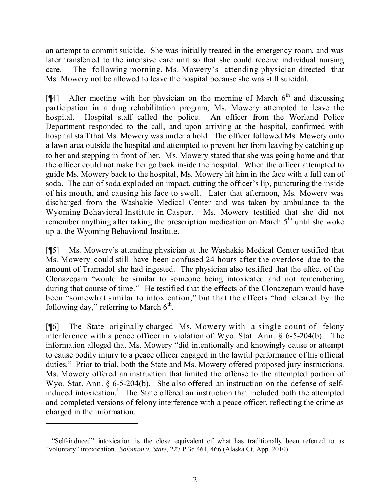an attempt to commit suicide. She was initially treated in the emergency room, and was later transferred to the intensive care unit so that she could receive individual nursing care. The following morning, Ms. Mowery's attending physician directed that Ms. Mowery not be allowed to leave the hospital because she was still suicidal.

[¶4] After meeting with her physician on the morning of March  $6<sup>th</sup>$  and discussing participation in a drug rehabilitation program, Ms. Mowery attempted to leave the hospital. Hospital staff called the police. An officer from the Worland Police Department responded to the call, and upon arriving at the hospital, confirmed with hospital staff that Ms. Mowery was under a hold. The officer followed Ms. Mowery onto a lawn area outside the hospital and attempted to prevent her from leaving by catching up to her and stepping in front of her. Ms. Mowery stated that she was going home and that the officer could not make her go back inside the hospital. When the officer attempted to guide Ms. Mowery back to the hospital, Ms. Mowery hit him in the face with a full can of soda. The can of soda exploded on impact, cutting the officer's lip, puncturing the inside of his mouth, and causing his face to swell. Later that afternoon, Ms. Mowery was discharged from the Washakie Medical Center and was taken by ambulance to the Wyoming Behavioral Institute in Casper. Ms. Mowery testified that she did not remember anything after taking the prescription medication on March  $5<sup>th</sup>$  until she woke up at the Wyoming Behavioral Institute.

[¶5] Ms. Mowery's attending physician at the Washakie Medical Center testified that Ms. Mowery could still have been confused 24 hours after the overdose due to the amount of Tramadol she had ingested. The physician also testified that the effect of the Clonazepam "would be similar to someone being intoxicated and not remembering during that course of time." He testified that the effects of the Clonazepam would have been "somewhat similar to intoxication," but that the effects "had cleared by the following day," referring to March  $6<sup>th</sup>$ .

[¶6] The State originally charged Ms. Mowery with a single count of felony interference with a peace officer in violation of Wyo. Stat. Ann. § 6-5-204(b). The information alleged that Ms. Mowery "did intentionally and knowingly cause or attempt to cause bodily injury to a peace officer engaged in the lawful performance of his official duties." Prior to trial, both the State and Ms. Mowery offered proposed jury instructions. Ms. Mowery offered an instruction that limited the offense to the attempted portion of Wyo. Stat. Ann. § 6-5-204(b). She also offered an instruction on the defense of selfinduced intoxication.<sup>1</sup> The State offered an instruction that included both the attempted and completed versions of felony interference with a peace officer, reflecting the crime as charged in the information.

<sup>&</sup>lt;sup>1</sup> "Self-induced" intoxication is the close equivalent of what has traditionally been referred to as "voluntary" intoxication. *Solomon v. State*, 227 P.3d 461, 466 (Alaska Ct. App. 2010).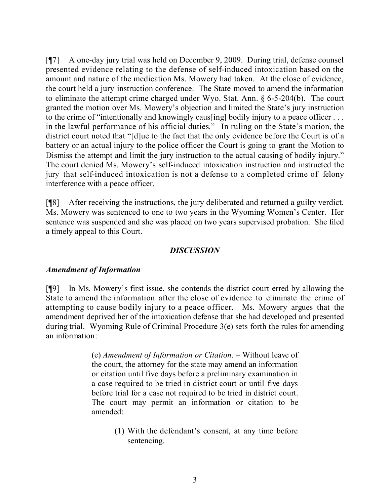[¶7] A one-day jury trial was held on December 9, 2009. During trial, defense counsel presented evidence relating to the defense of self-induced intoxication based on the amount and nature of the medication Ms. Mowery had taken. At the close of evidence, the court held a jury instruction conference. The State moved to amend the information to eliminate the attempt crime charged under Wyo. Stat. Ann. § 6-5-204(b). The court granted the motion over Ms. Mowery's objection and limited the State's jury instruction to the crime of "intentionally and knowingly caus[ing] bodily injury to a peace officer . . . in the lawful performance of his official duties." In ruling on the State's motion, the district court noted that "[d]ue to the fact that the only evidence before the Court is of a battery or an actual injury to the police officer the Court is going to grant the Motion to Dismiss the attempt and limit the jury instruction to the actual causing of bodily injury." The court denied Ms. Mowery's self-induced intoxication instruction and instructed the jury that self-induced intoxication is not a defense to a completed crime of felony interference with a peace officer.

[¶8] After receiving the instructions, the jury deliberated and returned a guilty verdict. Ms. Mowery was sentenced to one to two years in the Wyoming Women's Center. Her sentence was suspended and she was placed on two years supervised probation. She filed a timely appeal to this Court.

### *DISCUSSION*

## *Amendment of Information*

[¶9] In Ms. Mowery's first issue, she contends the district court erred by allowing the State to amend the information after the close of evidence to eliminate the crime of attempting to cause bodily injury to a peace officer. Ms. Mowery argues that the amendment deprived her of the intoxication defense that she had developed and presented during trial. Wyoming Rule of Criminal Procedure 3(e) sets forth the rules for amending an information:

> (e) *Amendment of Information or Citation*. – Without leave of the court, the attorney for the state may amend an information or citation until five days before a preliminary examination in a case required to be tried in district court or until five days before trial for a case not required to be tried in district court. The court may permit an information or citation to be amended:

> > (1) With the defendant's consent, at any time before sentencing.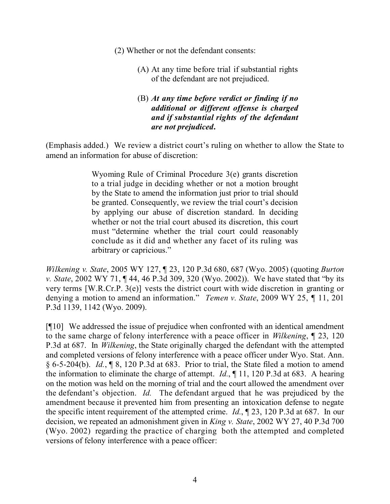- (2) Whether or not the defendant consents:
	- (A) At any time before trial if substantial rights of the defendant are not prejudiced.
	- (B) *At any time before verdict or finding if no additional or different offense is charged and if substantial rights of the defendant are not prejudiced***.**

(Emphasis added.) We review a district court's ruling on whether to allow the State to amend an information for abuse of discretion:

> Wyoming Rule of Criminal Procedure 3(e) grants discretion to a trial judge in deciding whether or not a motion brought by the State to amend the information just prior to trial should be granted. Consequently, we review the trial court's decision by applying our abuse of discretion standard. In deciding whether or not the trial court abused its discretion, this court must "determine whether the trial court could reasonably conclude as it did and whether any facet of its ruling was arbitrary or capricious."

*Wilkening v. State*, 2005 WY 127, ¶ 23, 120 P.3d 680, 687 (Wyo. 2005) (quoting *Burton v. State*, 2002 WY 71, ¶ 44, 46 P.3d 309, 320 (Wyo. 2002)). We have stated that "by its very terms [W.R.Cr.P. 3(e)] vests the district court with wide discretion in granting or denying a motion to amend an information." *Temen v. State*, 2009 WY 25, ¶ 11, 201 P.3d 1139, 1142 (Wyo. 2009).

[¶10] We addressed the issue of prejudice when confronted with an identical amendment to the same charge of felony interference with a peace officer in *Wilkening*, ¶ 23, 120 P.3d at 687. In *Wilkening*, the State originally charged the defendant with the attempted and completed versions of felony interference with a peace officer under Wyo. Stat. Ann. § 6-5-204(b). *Id.*, ¶ 8, 120 P.3d at 683. Prior to trial, the State filed a motion to amend the information to eliminate the charge of attempt. *Id.*, ¶ 11, 120 P.3d at 683.A hearing on the motion was held on the morning of trial and the court allowed the amendment over the defendant's objection. *Id.* The defendant argued that he was prejudiced by the amendment because it prevented him from presenting an intoxication defense to negate the specific intent requirement of the attempted crime. *Id.*, ¶ 23, 120 P.3d at 687.In our decision, we repeated an admonishment given in *King v. State*, 2002 WY 27, 40 P.3d 700 (Wyo. 2002) regarding the practice of charging both the attempted and completed versions of felony interference with a peace officer: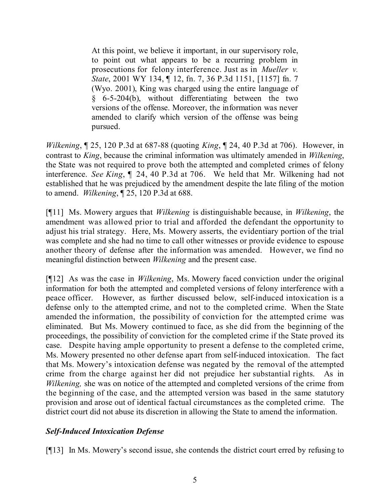At this point, we believe it important, in our supervisory role, to point out what appears to be a recurring problem in prosecutions for felony interference. Just as in *Mueller v. State*, 2001 WY 134, ¶ 12, fn. 7, 36 P.3d 1151, [1157] fn. 7 (Wyo. 2001), King was charged using the entire language of § 6-5-204(b), without differentiating between the two versions of the offense. Moreover, the information was never amended to clarify which version of the offense was being pursued.

*Wilkening*, ¶ 25, 120 P.3d at 687-88 (quoting *King*, ¶ 24, 40 P.3d at 706). However, in contrast to *King*, because the criminal information was ultimately amended in *Wilkening*, the State was not required to prove both the attempted and completed crimes of felony interference. *See King*, ¶ 24, 40 P.3d at 706. We held that Mr. Wilkening had not established that he was prejudiced by the amendment despite the late filing of the motion to amend. *Wilkening*, ¶ 25, 120 P.3d at 688.

[¶11] Ms. Mowery argues that *Wilkening* is distinguishable because, in *Wilkening*, the amendment was allowed prior to trial and afforded the defendant the opportunity to adjust his trial strategy. Here, Ms. Mowery asserts, the evidentiary portion of the trial was complete and she had no time to call other witnesses or provide evidence to espouse another theory of defense after the information was amended. However, we find no meaningful distinction between *Wilkening* and the present case.

[¶12] As was the case in *Wilkening*, Ms. Mowery faced conviction under the original information for both the attempted and completed versions of felony interference with a peace officer. However, as further discussed below, self-induced intoxication is a defense only to the attempted crime, and not to the completed crime. When the State amended the information, the possibility of conviction for the attempted crime was eliminated. But Ms. Mowery continued to face, as she did from the beginning of the proceedings, the possibility of conviction for the completed crime if the State proved its case. Despite having ample opportunity to present a defense to the completed crime, Ms. Mowery presented no other defense apart from self-induced intoxication. The fact that Ms. Mowery's intoxication defense was negated by the removal of the attempted crime from the charge against her did not prejudice her substantial rights. As in *Wilkening*, she was on notice of the attempted and completed versions of the crime from the beginning of the case, and the attempted version was based in the same statutory provision and arose out of identical factual circumstances as the completed crime. The district court did not abuse its discretion in allowing the State to amend the information.

# *Self-Induced Intoxication Defense*

[¶13] In Ms. Mowery's second issue, she contends the district court erred by refusing to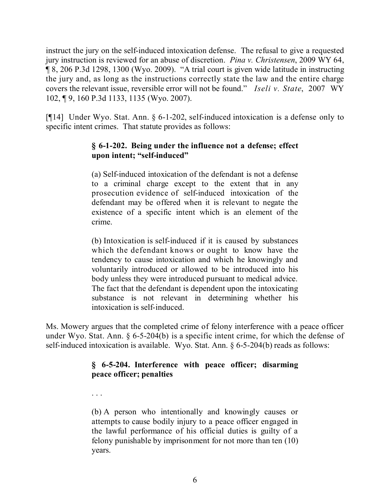instruct the jury on the self-induced intoxication defense. The refusal to give a requested jury instruction is reviewed for an abuse of discretion. *Pina v. Christensen*, 2009 WY 64, ¶ 8, 206 P.3d 1298, 1300 (Wyo. 2009). "A trial court is given wide latitude in instructing the jury and, as long as the instructions correctly state the law and the entire charge covers the relevant issue, reversible error will not be found." *Iseli v. State*, 2007 WY 102, ¶ 9, 160 P.3d 1133, 1135 (Wyo. 2007).

[¶14] Under Wyo. Stat. Ann. § 6-1-202, self-induced intoxication is a defense only to specific intent crimes. That statute provides as follows:

# **§ 6-1-202. Being under the influence not a defense; effect upon intent; "self-induced"**

(a) Self-induced intoxication of the defendant is not a defense to a criminal charge except to the extent that in any prosecution evidence of self-induced intoxication of the defendant may be offered when it is relevant to negate the existence of a specific intent which is an element of the crime.

(b) Intoxication is self-induced if it is caused by substances which the defendant knows or ought to know have the tendency to cause intoxication and which he knowingly and voluntarily introduced or allowed to be introduced into his body unless they were introduced pursuant to medical advice. The fact that the defendant is dependent upon the intoxicating substance is not relevant in determining whether his intoxication is self-induced.

Ms. Mowery argues that the completed crime of felony interference with a peace officer under Wyo. Stat. Ann. § 6-5-204(b) is a specific intent crime, for which the defense of self-induced intoxication is available. Wyo. Stat. Ann. § 6-5-204(b) reads as follows:

# **§ 6-5-204. Interference with peace officer; disarming peace officer; penalties**

. . .

(b) A person who intentionally and knowingly causes or attempts to cause bodily injury to a peace officer engaged in the lawful performance of his official duties is guilty of a felony punishable by imprisonment for not more than ten (10) years.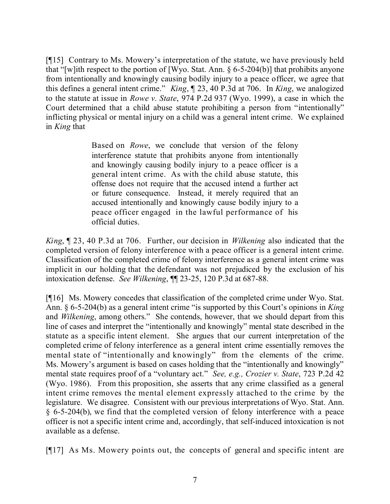[¶15] Contrary to Ms. Mowery's interpretation of the statute, we have previously held that "[w]ith respect to the portion of [Wyo. Stat. Ann. § 6-5-204(b)] that prohibits anyone from intentionally and knowingly causing bodily injury to a peace officer, we agree that this defines a general intent crime." *King*, ¶ 23, 40 P.3d at 706. In *King*, we analogized to the statute at issue in *Rowe v. State*, 974 P.2d 937 (Wyo. 1999), a case in which the Court determined that a child abuse statute prohibiting a person from "intentionally" inflicting physical or mental injury on a child was a general intent crime. We explained in *King* that

> Based on *Rowe*, we conclude that version of the felony interference statute that prohibits anyone from intentionally and knowingly causing bodily injury to a peace officer is a general intent crime. As with the child abuse statute, this offense does not require that the accused intend a further act or future consequence. Instead, it merely required that an accused intentionally and knowingly cause bodily injury to a peace officer engaged in the lawful performance of his official duties.

*King*, ¶ 23, 40 P.3d at 706. Further, our decision in *Wilkening* also indicated that the completed version of felony interference with a peace officer is a general intent crime. Classification of the completed crime of felony interference as a general intent crime was implicit in our holding that the defendant was not prejudiced by the exclusion of his intoxication defense. *See Wilkening*, ¶¶ 23-25, 120 P.3d at 687-88.

[¶16] Ms. Mowery concedes that classification of the completed crime under Wyo. Stat. Ann. § 6-5-204(b) as a general intent crime "is supported by this Court's opinions in *King* and *Wilkening*, among others." She contends, however, that we should depart from this line of cases and interpret the "intentionally and knowingly" mental state described in the statute as a specific intent element. She argues that our current interpretation of the completed crime of felony interference as a general intent crime essentially removes the mental state of "intentionally and knowingly" from the elements of the crime. Ms. Mowery's argument is based on cases holding that the "intentionally and knowingly" mental state requires proof of a "voluntary act." *See, e.g., Crozier v. State*, 723 P.2d 42 (Wyo. 1986). From this proposition, she asserts that any crime classified as a general intent crime removes the mental element expressly attached to the crime by the legislature. We disagree. Consistent with our previous interpretations of Wyo. Stat. Ann. § 6-5-204(b), we find that the completed version of felony interference with a peace officer is not a specific intent crime and, accordingly, that self-induced intoxication is not available as a defense.

[¶17] As Ms. Mowery points out, the concepts of general and specific intent are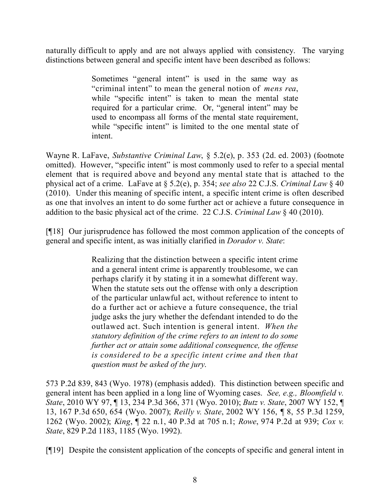naturally difficult to apply and are not always applied with consistency. The varying distinctions between general and specific intent have been described as follows:

> Sometimes "general intent" is used in the same way as "criminal intent" to mean the general notion of *mens rea*, while "specific intent" is taken to mean the mental state required for a particular crime. Or, "general intent" may be used to encompass all forms of the mental state requirement, while "specific intent" is limited to the one mental state of intent.

Wayne R. LaFave, *Substantive Criminal Law*, § 5.2(e), p. 353 (2d. ed. 2003) (footnote omitted). However, "specific intent" is most commonly used to refer to a special mental element that is required above and beyond any mental state that is attached to the physical act of a crime. LaFave at § 5.2(e), p. 354; *see also* 22 C.J.S. *Criminal Law* § 40 (2010). Under this meaning of specific intent, a specific intent crime is often described as one that involves an intent to do some further act or achieve a future consequence in addition to the basic physical act of the crime. 22 C.J.S. *Criminal Law* § 40 (2010).

[¶18] Our jurisprudence has followed the most common application of the concepts of general and specific intent, as was initially clarified in *Dorador v. State*:

> Realizing that the distinction between a specific intent crime and a general intent crime is apparently troublesome, we can perhaps clarify it by stating it in a somewhat different way. When the statute sets out the offense with only a description of the particular unlawful act, without reference to intent to do a further act or achieve a future consequence, the trial judge asks the jury whether the defendant intended to do the outlawed act. Such intention is general intent. *When the statutory definition of the crime refers to an intent to do some further act or attain some additional consequence, the offense is considered to be a specific intent crime and then that question must be asked of the jury*.

573 P.2d 839, 843 (Wyo. 1978) (emphasis added). This distinction between specific and general intent has been applied in a long line of Wyoming cases. *See, e.g., Bloomfield v. State*, 2010 WY 97, ¶ 13, 234 P.3d 366, 371 (Wyo. 2010); *Butz v. State*, 2007 WY 152, ¶ 13, 167 P.3d 650, 654 (Wyo. 2007); *Reilly v. State*, 2002 WY 156, ¶ 8, 55 P.3d 1259, 1262 (Wyo. 2002); *King*, ¶ 22 n.1, 40 P.3d at 705 n.1; *Rowe*, 974 P.2d at 939; *Cox v. State*, 829 P.2d 1183, 1185 (Wyo. 1992).

[¶19] Despite the consistent application of the concepts of specific and general intent in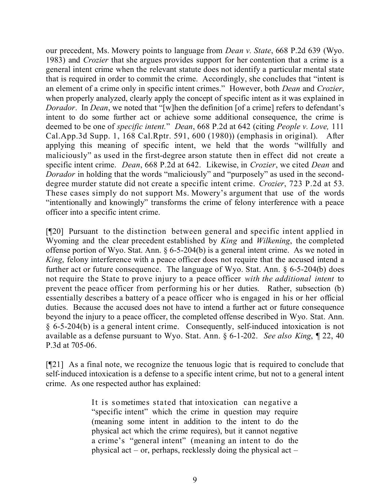our precedent, Ms. Mowery points to language from *Dean v. State*, 668 P.2d 639 (Wyo. 1983) and *Crozier* that she argues provides support for her contention that a crime is a general intent crime when the relevant statute does not identify a particular mental state that is required in order to commit the crime. Accordingly, she concludes that "intent is an element of a crime only in specific intent crimes." However, both *Dean* and *Crozier*, when properly analyzed, clearly apply the concept of specific intent as it was explained in *Dorador*. In *Dean*, we noted that "[w]hen the definition [of a crime] refers to defendant's intent to do some further act or achieve some additional consequence, the crime is deemed to be one of *specific intent.*" *Dean*, 668 P.2d at 642 (citing *People v. Love,* 111 Cal.App.3d Supp. 1, 168 Cal.Rptr. 591, 600 (1980)) (emphasis in original). After applying this meaning of specific intent, we held that the words "willfully and maliciously" as used in the first-degree arson statute then in effect did not create a specific intent crime. *Dean*, 668 P.2d at 642. Likewise, in *Crozier*, we cited *Dean* and *Dorador* in holding that the words "maliciously" and "purposely" as used in the seconddegree murder statute did not create a specific intent crime. *Crozier*, 723 P.2d at 53. These cases simply do not support Ms. Mowery's argument that use of the words "intentionally and knowingly" transforms the crime of felony interference with a peace officer into a specific intent crime.

[¶20] Pursuant to the distinction between general and specific intent applied in Wyoming and the clear precedent established by *King* and *Wilkening*, the completed offense portion of Wyo. Stat. Ann. § 6-5-204(b) is a general intent crime. As we noted in *King*, felony interference with a peace officer does not require that the accused intend a further act or future consequence. The language of Wyo. Stat. Ann. § 6-5-204(b) does not require the State to prove injury to a peace officer *with the additional intent* to prevent the peace officer from performing his or her duties. Rather, subsection (b) essentially describes a battery of a peace officer who is engaged in his or her official duties. Because the accused does not have to intend a further act or future consequence beyond the injury to a peace officer, the completed offense described in Wyo. Stat. Ann. § 6-5-204(b) is a general intent crime. Consequently, self-induced intoxication is not available as a defense pursuant to Wyo. Stat. Ann. § 6-1-202. *See also King*, ¶ 22, 40 P.3d at 705-06.

[¶21] As a final note, we recognize the tenuous logic that is required to conclude that self-induced intoxication is a defense to a specific intent crime, but not to a general intent crime. As one respected author has explained:

> It is sometimes stated that intoxication can negative a "specific intent" which the crime in question may require (meaning some intent in addition to the intent to do the physical act which the crime requires), but it cannot negative a crime's "general intent" (meaning an intent to do the physical act – or, perhaps, recklessly doing the physical act –